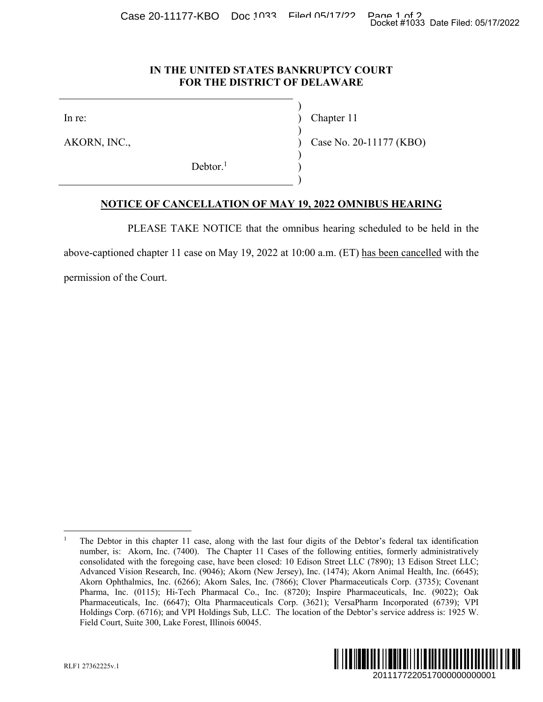Case 20-11177-KBO Doc 1033 Filed 05/17/22 Pane 1 of 2<br>Docket #1033 Date Filed: 05/17/2022

### **IN THE UNITED STATES BANKRUPTCY COURT FOR THE DISTRICT OF DELAWARE**

In re: (a) Chapter 11

AKORN, INC., 20-11177 (KBO)

 $Dektor<sup>1</sup>$  $\overline{\phantom{a}}$ 

 $\big)$ 

 $\big)$ 

 $\big)$ 

 $\overline{\phantom{a}}$ 

## **NOTICE OF CANCELLATION OF MAY 19, 2022 OMNIBUS HEARING**

PLEASE TAKE NOTICE that the omnibus hearing scheduled to be held in the

above-captioned chapter 11 case on May 19, 2022 at 10:00 a.m. (ET) has been cancelled with the

permission of the Court.

<sup>1</sup> The Debtor in this chapter 11 case, along with the last four digits of the Debtor's federal tax identification number, is: Akorn, Inc. (7400). The Chapter 11 Cases of the following entities, formerly administratively consolidated with the foregoing case, have been closed: 10 Edison Street LLC (7890); 13 Edison Street LLC; Advanced Vision Research, Inc. (9046); Akorn (New Jersey), Inc. (1474); Akorn Animal Health, Inc. (6645); Akorn Ophthalmics, Inc. (6266); Akorn Sales, Inc. (7866); Clover Pharmaceuticals Corp. (3735); Covenant Pharma, Inc. (0115); Hi-Tech Pharmacal Co., Inc. (8720); Inspire Pharmaceuticals, Inc. (9022); Oak Pharmaceuticals, Inc. (6647); Olta Pharmaceuticals Corp. (3621); VersaPharm Incorporated (6739); VPI Holdings Corp. (6716); and VPI Holdings Sub, LLC. The location of the Debtor's service address is: 1925 W. Field Court, Suite 300, Lake Forest, Illinois 60045. Docket #1033 Date Filed: 05/17/2022<br>
2011177 (KBO)<br>
2013 HEARING<br>
2013 HEARING<br>
2013 HEARING<br>
2013 HEARING<br>
2013 IS 1 Edisson Street LLC;<br>
2013 Date and Feath the street LLC;<br>
2013 Covent memporated (6739); VPI<br>
201117722



 $\overline{a}$